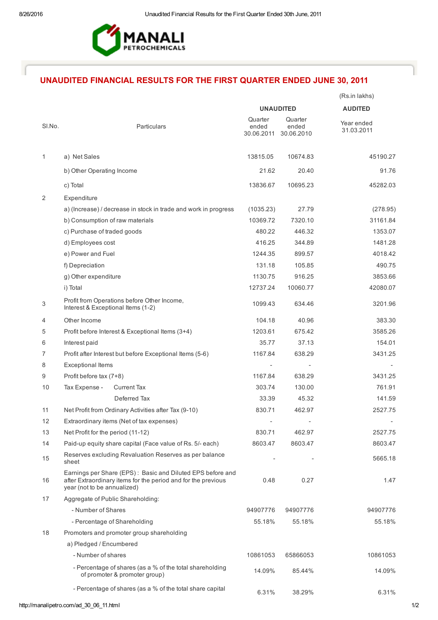

## UNAUDITED FINANCIAL RESULTS FOR THE FIRST QUARTER ENDED JUNE 30, 2011

|        |                                                                                                                                                            |                                |                                | (Rs.in lakhs)            |
|--------|------------------------------------------------------------------------------------------------------------------------------------------------------------|--------------------------------|--------------------------------|--------------------------|
|        |                                                                                                                                                            |                                | <b>UNAUDITED</b>               | <b>AUDITED</b>           |
| SI.No. | Particulars                                                                                                                                                | Quarter<br>ended<br>30.06.2011 | Quarter<br>ended<br>30.06.2010 | Year ended<br>31.03.2011 |
| 1      | a) Net Sales                                                                                                                                               | 13815.05                       | 10674.83                       | 45190.27                 |
|        | b) Other Operating Income                                                                                                                                  | 21.62                          | 20.40                          | 91.76                    |
|        | c) Total                                                                                                                                                   | 13836.67                       | 10695.23                       | 45282.03                 |
| 2      | Expenditure                                                                                                                                                |                                |                                |                          |
|        | a) (Increase) / decrease in stock in trade and work in progress                                                                                            | (1035.23)                      | 27.79                          | (278.95)                 |
|        | b) Consumption of raw materials                                                                                                                            | 10369.72                       | 7320.10                        | 31161.84                 |
|        | c) Purchase of traded goods                                                                                                                                | 480.22                         | 446.32                         | 1353.07                  |
|        | d) Employees cost                                                                                                                                          | 416.25                         | 344.89                         | 1481.28                  |
|        | e) Power and Fuel                                                                                                                                          | 1244.35                        | 899.57                         | 4018.42                  |
|        | f) Depreciation                                                                                                                                            | 131.18                         | 105.85                         | 490.75                   |
|        | g) Other expenditure                                                                                                                                       | 1130.75                        | 916.25                         | 3853.66                  |
|        | i) Total                                                                                                                                                   | 12737.24                       | 10060.77                       | 42080.07                 |
| 3      | Profit from Operations before Other Income,<br>Interest & Exceptional Items (1-2)                                                                          | 1099.43                        | 634.46                         | 3201.96                  |
| 4      | Other Income                                                                                                                                               | 104.18                         | 40.96                          | 383.30                   |
| 5      | Profit before Interest & Exceptional Items (3+4)                                                                                                           | 1203.61                        | 675.42                         | 3585.26                  |
| 6      | Interest paid                                                                                                                                              | 35.77                          | 37.13                          | 154.01                   |
| 7      | Profit after Interest but before Exceptional Items (5-6)                                                                                                   | 1167.84                        | 638.29                         | 3431.25                  |
| 8      | <b>Exceptional Items</b>                                                                                                                                   |                                |                                |                          |
| 9      | Profit before tax (7+8)                                                                                                                                    | 1167.84                        | 638.29                         | 3431.25                  |
| 10     | Tax Expense -<br><b>Current Tax</b>                                                                                                                        | 303.74                         | 130.00                         | 761.91                   |
|        | Deferred Tax                                                                                                                                               | 33.39                          | 45.32                          | 141.59                   |
| 11     | Net Profit from Ordinary Activities after Tax (9-10)                                                                                                       | 830.71                         | 462.97                         | 2527.75                  |
| 12     | Extraordinary items (Net of tax expenses)                                                                                                                  |                                |                                |                          |
| 13     | Net Profit for the period (11-12)                                                                                                                          | 830.71                         | 462.97                         | 2527.75                  |
| 14     | Paid-up equity share capital (Face value of Rs. 5/- each)                                                                                                  | 8603.47                        | 8603.47                        | 8603.47                  |
| 15     | Reserves excluding Revaluation Reserves as per balance<br>sheet                                                                                            |                                |                                | 5665.18                  |
| 16     | Earnings per Share (EPS): Basic and Diluted EPS before and<br>after Extraordinary items for the period and for the previous<br>year (not to be annualized) | 0.48                           | 0.27                           | 1.47                     |
| 17     | Aggregate of Public Shareholding:                                                                                                                          |                                |                                |                          |
|        | - Number of Shares                                                                                                                                         | 94907776                       | 94907776                       | 94907776                 |
|        | - Percentage of Shareholding                                                                                                                               | 55.18%                         | 55.18%                         | 55.18%                   |
| 18     | Promoters and promoter group shareholding                                                                                                                  |                                |                                |                          |
|        | a) Pledged / Encumbered                                                                                                                                    |                                |                                |                          |
|        | - Number of shares                                                                                                                                         | 10861053                       | 65866053                       | 10861053                 |
|        | - Percentage of shares (as a % of the total shareholding<br>of promoter & promoter group)                                                                  | 14.09%                         | 85.44%                         | 14.09%                   |
|        | - Percentage of shares (as a % of the total share capital                                                                                                  | 6.31%                          | 38.29%                         | 6.31%                    |